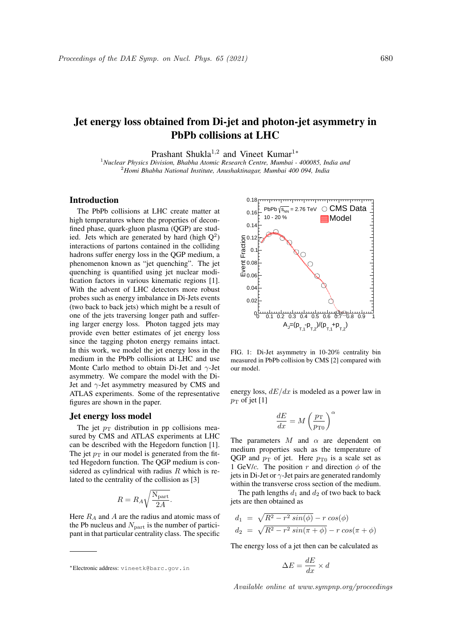# Jet energy loss obtained from Di-jet and photon-jet asymmetry in PbPb collisions at LHC

Prashant Shukla<sup>1,2</sup> and Vineet Kumar<sup>1</sup>\*

<sup>1</sup>*Nuclear Physics Division, Bhabha Atomic Research Centre, Mumbai - 400085, India and* <sup>2</sup>*Homi Bhabha National Institute, Anushaktinagar, Mumbai 400 094, India*

## Introduction

The PbPb collisions at LHC create matter at high temperatures where the properties of deconfined phase, quark-gluon plasma (QGP) are studied. Jets which are generated by hard (high  $Q^2$ ) interactions of partons contained in the colliding hadrons suffer energy loss in the QGP medium, a phenomenon known as "jet quenching". The jet quenching is quantified using jet nuclear modification factors in various kinematic regions [1]. With the advent of LHC detectors more robust probes such as energy imbalance in Di-Jets events (two back to back jets) which might be a result of one of the jets traversing longer path and suffering larger energy loss. Photon tagged jets may provide even better estimates of jet energy loss since the tagging photon energy remains intact. In this work, we model the jet energy loss in the medium in the PbPb collisions at LHC and use Monte Carlo method to obtain Di-Jet and  $\gamma$ -Jet asymmetry. We compare the model with the Di-Jet and  $\gamma$ -Jet asymmetry measured by CMS and ATLAS experiments. Some of the representative figures are shown in the paper.

#### Jet energy loss model

The jet  $p_T$  distribution in pp collisions measured by CMS and ATLAS experiments at LHC can be described with the Hegedorn function [1]. The jet  $p_T$  in our model is generated from the fitted Hegedorn function. The QGP medium is considered as cylindrical with radius  $R$  which is related to the centrality of the collision as [3]

$$
R = R_A \sqrt{\frac{N_{\text{part}}}{2A}}.
$$

Here  $R_A$  and A are the radius and atomic mass of the Pb nucleus and  $N_{\text{part}}$  is the number of participant in that particular centrality class. The specific



FIG. 1: Di-Jet asymmetry in 10-20% centrality bin measured in PbPb collision by CMS [2] compared with our model.

energy loss,  $dE/dx$  is modeled as a power law in  $p_T$  of jet [1]

$$
\frac{dE}{dx} = M \left(\frac{p_{\rm T}}{p_{\rm T0}}\right)^{\alpha}
$$

The parameters  $M$  and  $\alpha$  are dependent on medium properties such as the temperature of QGP and  $p_T$  of jet. Here  $p_{T0}$  is a scale set as 1 GeV/c. The position r and direction  $\phi$  of the jets in Di-Jet or  $\gamma$ -Jet pairs are generated randomly within the transverse cross section of the medium.

The path lengths  $d_1$  and  $d_2$  of two back to back jets are then obtained as

$$
d_1 = \sqrt{R^2 - r^2 \sin(\phi)} - r \cos(\phi)
$$
  

$$
d_2 = \sqrt{R^2 - r^2 \sin(\pi + \phi)} - r \cos(\pi + \phi)
$$

The energy loss of a jet then can be calculated as

$$
\Delta E = \frac{dE}{dx} \times d
$$

Available online at www.sympnp.org/proceedings

<sup>∗</sup>Electronic address: vineetk@barc.gov.in